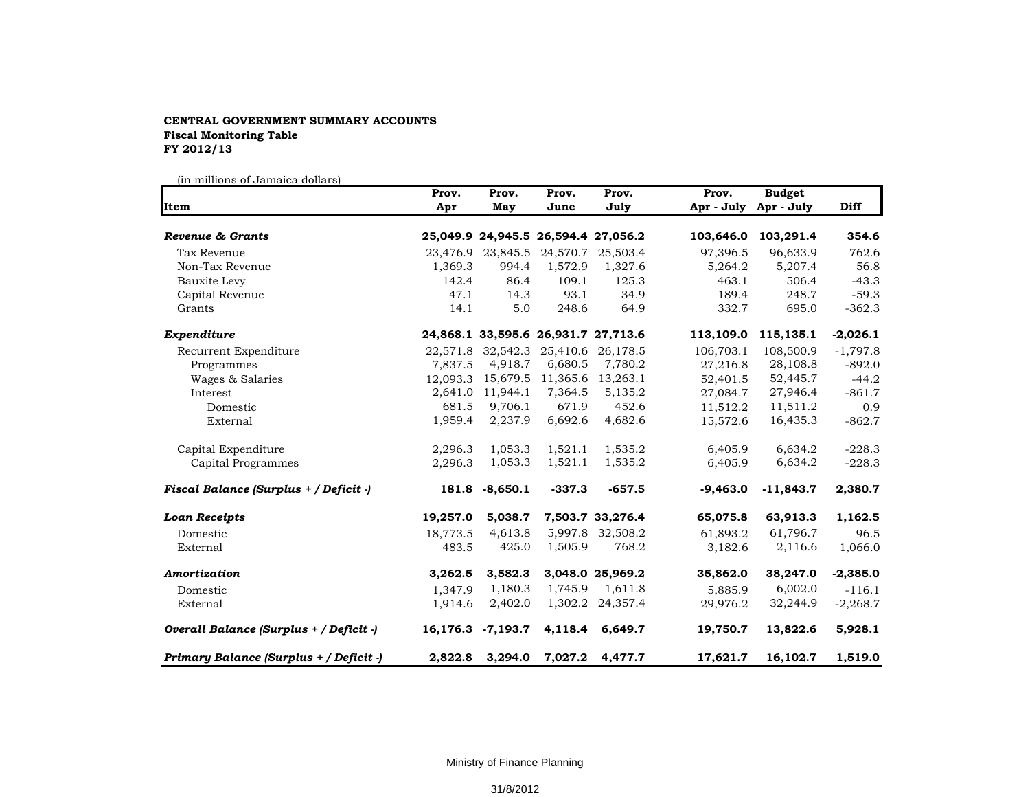## **CENTRAL GOVERNMENT SUMMARY ACCOUNTS Fiscal Monitoring Table FY 2012/13**

(in millions of Jamaica dollars)

| <b>Item</b>                             | Prov.<br>Apr | Prov.<br>May      | Prov.<br>June | Prov.<br>July                       | Prov.<br>Apr - July | <b>Budget</b><br>Apr - July | <b>Diff</b> |
|-----------------------------------------|--------------|-------------------|---------------|-------------------------------------|---------------------|-----------------------------|-------------|
|                                         |              |                   |               |                                     |                     |                             |             |
| Tax Revenue                             |              | 23,476.9 23,845.5 | 24,570.7      | 25,503.4                            | 97,396.5            | 96,633.9                    | 762.6       |
| Non-Tax Revenue                         | 1,369.3      | 994.4             | 1,572.9       | 1,327.6                             | 5,264.2             | 5,207.4                     | 56.8        |
| Bauxite Levy                            | 142.4        | 86.4              | 109.1         | 125.3                               | 463.1               | 506.4                       | $-43.3$     |
| Capital Revenue                         | 47.1         | 14.3              | 93.1          | 34.9                                | 189.4               | 248.7                       | $-59.3$     |
| Grants                                  | 14.1         | 5.0               | 248.6         | 64.9                                | 332.7               | 695.0                       | $-362.3$    |
| Expenditure                             |              |                   |               | 24,868.1 33,595.6 26,931.7 27,713.6 | 113,109.0           | 115,135.1                   | $-2,026.1$  |
| Recurrent Expenditure                   |              | 22,571.8 32,542.3 | 25,410.6      | 26,178.5                            | 106,703.1           | 108,500.9                   | $-1,797.8$  |
| Programmes                              | 7.837.5      | 4,918.7           | 6,680.5       | 7,780.2                             | 27,216.8            | 28,108.8                    | $-892.0$    |
| Wages & Salaries                        | 12,093.3     | 15,679.5          | 11,365.6      | 13,263.1                            | 52,401.5            | 52,445.7                    | $-44.2$     |
| Interest                                | 2,641.0      | 11,944.1          | 7,364.5       | 5,135.2                             | 27,084.7            | 27,946.4                    | $-861.7$    |
| Domestic                                | 681.5        | 9,706.1           | 671.9         | 452.6                               | 11,512.2            | 11,511.2                    | 0.9         |
| External                                | 1,959.4      | 2,237.9           | 6,692.6       | 4,682.6                             | 15,572.6            | 16,435.3                    | $-862.7$    |
| Capital Expenditure                     | 2,296.3      | 1,053.3           | 1,521.1       | 1,535.2                             | 6,405.9             | 6,634.2                     | $-228.3$    |
| Capital Programmes                      | 2,296.3      | 1,053.3           | 1,521.1       | 1,535.2                             | 6,405.9             | 6,634.2                     | $-228.3$    |
| Fiscal Balance (Surplus + / Deficit -)  |              | 181.8 -8,650.1    | $-337.3$      | $-657.5$                            | $-9,463.0$          | $-11,843.7$                 | 2,380.7     |
| <b>Loan Receipts</b>                    | 19,257.0     | 5,038.7           |               | 7,503.7 33,276.4                    | 65,075.8            | 63,913.3                    | 1,162.5     |
| Domestic                                | 18,773.5     | 4,613.8           |               | 5,997.8 32,508.2                    | 61,893.2            | 61,796.7                    | 96.5        |
| External                                | 483.5        | 425.0             | 1,505.9       | 768.2                               | 3,182.6             | 2,116.6                     | 1,066.0     |
| Amortization                            | 3,262.5      | 3,582.3           |               | 3,048.0 25,969.2                    | 35,862.0            | 38,247.0                    | $-2,385.0$  |
| Domestic                                | 1.347.9      | 1,180.3           | 1,745.9       | 1,611.8                             | 5.885.9             | 6,002.0                     | $-116.1$    |
| External                                | 1,914.6      | 2,402.0           |               | 1,302.2 24,357.4                    | 29,976.2            | 32,244.9                    | $-2,268.7$  |
| Overall Balance (Surplus + / Deficit -) |              | 16,176.3 -7,193.7 | 4,118.4       | 6,649.7                             | 19,750.7            | 13,822.6                    | 5,928.1     |
| Primary Balance (Surplus + / Deficit -) | 2,822.8      | 3,294.0           | 7,027.2       | 4,477.7                             | 17,621.7            | 16,102.7                    | 1,519.0     |

Ministry of Finance Planning